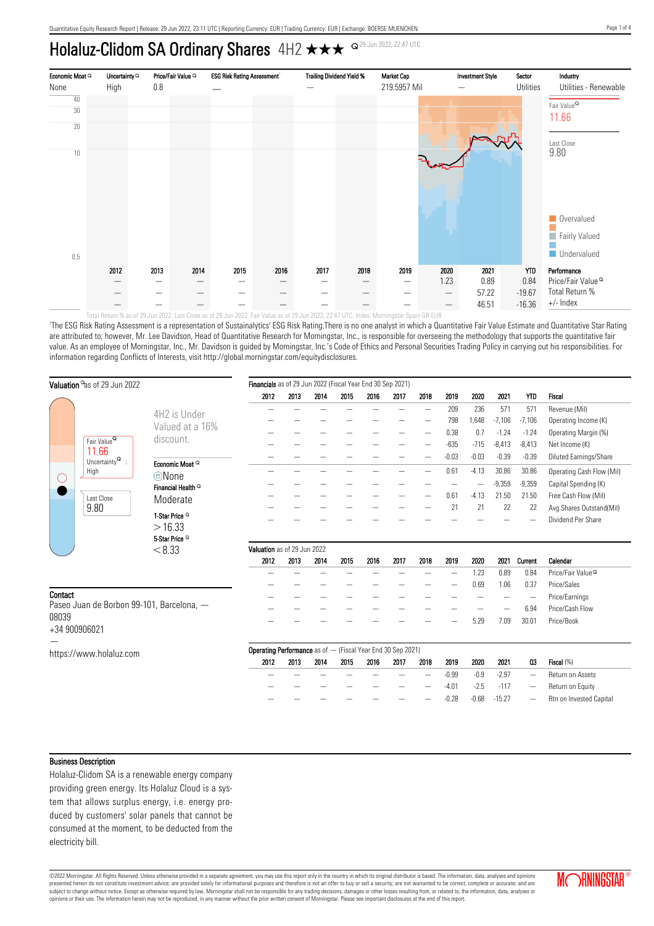# Holaluz-Clidom SA Ordinary Shares 4H2  $\star\star\star$  <az9 Jun 2022, 22:47 UTC



'The ESG Risk Rating Assessment is a representation of Sustainalytics' ESG Risk Rating.There is no one analyst in which a Quantitative Fair Value Estimate and Quantitative Star Rating are attributed to; however, Mr. Lee Davidson, Head of Quantitative Research for Morningstar, Inc., is responsible for overseeing the methodology that supports the quantitative fair

value. As an employee of Morningstar, Inc., Mr. Davidson is guided by Morningstar, Inc.'s Code of Ethics and Personal Securities Trading Policy in carrying out his responsibilities. For information regarding Conflicts of Interests, visit http://global.morningstar.com/equitydisclosures.

| Valuation <sup>o</sup> as of 29 Jun 2022  |                                          |                               | Financials as of 29 Jun 2022 (Fiscal Year End 30 Sep 2021)         |      |      |      |      |      |      |         |         |          |                          |                               |
|-------------------------------------------|------------------------------------------|-------------------------------|--------------------------------------------------------------------|------|------|------|------|------|------|---------|---------|----------|--------------------------|-------------------------------|
|                                           |                                          |                               | 2012                                                               | 2013 | 2014 | 2015 | 2016 | 2017 | 2018 | 2019    | 2020    | 2021     | <b>YTD</b>               | Fiscal                        |
|                                           |                                          | 4H2 is Under                  |                                                                    |      |      |      |      |      | —    | 209     | 236     | 571      | 571                      | Revenue (Mil)                 |
|                                           |                                          | Valued at a 16%               |                                                                    |      |      |      |      |      |      | 798     | 1,648   | $-7,106$ | $-7,106$                 | Operating Income (K)          |
|                                           |                                          |                               |                                                                    |      |      |      |      |      |      | 0.38    | 0.7     | $-1.24$  | $-1.24$                  | Operating Margin (%)          |
|                                           | Fair Value <sup>Q</sup>                  | discount.                     |                                                                    |      |      |      |      |      |      | $-635$  | $-715$  | $-8,413$ | $-8,413$                 | Net Income (K)                |
|                                           | 11.66<br>Uncertainty $^{\textsf{Q}}\,$ : |                               |                                                                    |      |      |      |      |      |      | $-0.03$ | $-0.03$ | $-0.39$  | $-0.39$                  | Diluted Earnings/Share        |
|                                           | High                                     | Economic Moat <sup>Q</sup>    |                                                                    |      |      |      |      |      |      | 0.61    | $-4.13$ | 30.86    | 30.86                    | Operating Cash Flow (Mil)     |
| $(\ )$                                    |                                          | ©None                         |                                                                    |      |      |      |      |      |      |         |         | $-9,359$ | $-9,359$                 | Capital Spending (K)          |
|                                           | Last Close                               | Financial Health <sup>Q</sup> |                                                                    |      |      |      |      |      |      | 0.61    | $-4.13$ | 21.50    | 21.50                    | Free Cash Flow (Mil)          |
|                                           | 9.80                                     | Moderate                      |                                                                    |      |      |      |      |      |      | 21      | 21      | 22       | 22                       | Avg Shares Outstand(Mil)      |
|                                           |                                          | 1-Star Price <sup>Q</sup>     |                                                                    |      |      |      |      |      |      |         |         |          |                          | Dividend Per Share            |
|                                           |                                          | >16.33                        |                                                                    |      |      |      |      |      |      |         |         |          |                          |                               |
|                                           |                                          | 5-Star Price <sup>Q</sup>     |                                                                    |      |      |      |      |      |      |         |         |          |                          |                               |
|                                           |                                          | < 8.33                        | Valuation as of 29 Jun 2022                                        |      |      |      |      |      |      |         |         |          |                          |                               |
|                                           |                                          |                               | 2012                                                               | 2013 | 2014 | 2015 | 2016 | 2017 | 2018 | 2019    | 2020    | 2021     | Current                  | Calendar                      |
|                                           |                                          |                               |                                                                    |      |      |      |      |      |      |         | 1.23    | 0.89     | 0.84                     | Price/Fair Value <sup>Q</sup> |
|                                           |                                          |                               |                                                                    |      |      |      |      |      |      |         | 0.69    | 1.06     | 0.37                     | Price/Sales                   |
| Contact                                   |                                          |                               |                                                                    |      |      |      |      |      |      |         |         |          | $\overline{\phantom{a}}$ | Price/Earnings                |
| Paseo Juan de Borbon 99-101, Barcelona, - |                                          |                               |                                                                    |      |      |      |      |      |      |         |         |          | 6.94                     | Price/Cash Flow               |
| 08039<br>+34 900906021                    |                                          |                               |                                                                    |      |      |      |      |      |      |         | 5.29    | 7.09     | 30.01                    | Price/Book                    |
|                                           |                                          |                               |                                                                    |      |      |      |      |      |      |         |         |          |                          |                               |
|                                           |                                          |                               | <b>Operating Performance</b> as of - (Fiscal Year End 30 Sep 2021) |      |      |      |      |      |      |         |         |          |                          |                               |
|                                           | https://www.holaluz.com                  |                               | 2012                                                               | 2013 | 2014 | 2015 | 2016 | 2017 | 2018 | 2019    | 2020    | 2021     | 03                       | Fiscal (%)                    |
|                                           |                                          |                               |                                                                    |      |      |      |      |      |      | $-0.99$ | $-0.9$  | $-2.97$  | $\qquad \qquad -$        | Return on Assets              |
|                                           |                                          |                               |                                                                    |      |      |      |      |      |      | $-4.01$ | $-2.5$  | $-117$   |                          | Return on Equity              |
|                                           |                                          |                               |                                                                    |      |      |      |      |      |      | $-0.28$ | $-0.68$ | $-15.27$ | $\overline{\phantom{0}}$ | Rtn on Invested Capital       |

#### Business Description

Holaluz-Clidom SA is a renewable energy company providing green energy. Its Holaluz Cloud is a system that allows surplus energy, i.e. energy produced by customers' solar panels that cannot be consumed at the moment, to be deducted from the electricity bill.

©2022 Morningstar. All Rights Reserved. Unless otherwise provided in a separate agreement, you may use this report only in the country in which its original distributor is based. The information, data, analyses and opinions presented herein do not constitute investment advice; are provided solely for informational purposes and therefore is not an offer to buy or sell a security; are not warranted to be correct, complete or accurate; and are subject to change without notice. Except as otherwise required by law, Morningstar shall not be responsible for any trading decisions, damages or other losses resulting from, or related to, the information, data, analyses

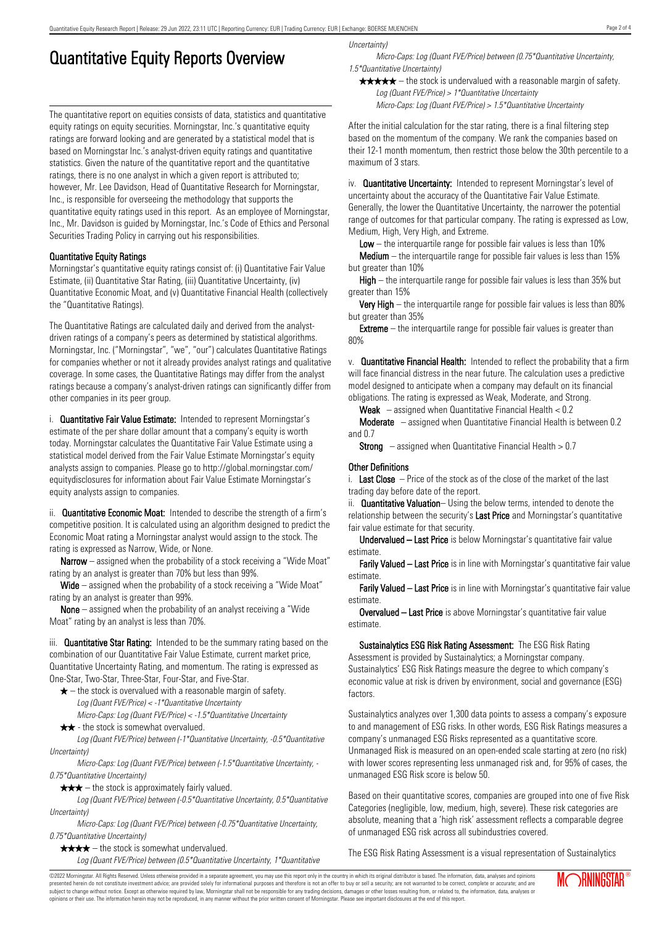## Quantitative Equity Reports Overview

The quantitative report on equities consists of data, statistics and quantitative equity ratings on equity securities. Morningstar, Inc.'s quantitative equity ratings are forward looking and are generated by a statistical model that is based on Morningstar Inc.'s analyst-driven equity ratings and quantitative statistics. Given the nature of the quantitative report and the quantitative ratings, there is no one analyst in which a given report is attributed to; however, Mr. Lee Davidson, Head of Quantitative Research for Morningstar, Inc., is responsible for overseeing the methodology that supports the quantitative equity ratings used in this report. As an employee of Morningstar, Inc., Mr. Davidson is guided by Morningstar, Inc.'s Code of Ethics and Personal Securities Trading Policy in carrying out his responsibilities.

#### Quantitative Equity Ratings

Morningstar's quantitative equity ratings consist of: (i) Quantitative Fair Value Estimate, (ii) Quantitative Star Rating, (iii) Quantitative Uncertainty, (iv) Quantitative Economic Moat, and (v) Quantitative Financial Health (collectively the "Quantitative Ratings).

The Quantitative Ratings are calculated daily and derived from the analystdriven ratings of a company's peers as determined by statistical algorithms. Morningstar, Inc. ("Morningstar", "we", "our") calculates Quantitative Ratings for companies whether or not it already provides analyst ratings and qualitative coverage. In some cases, the Quantitative Ratings may differ from the analyst ratings because a company's analyst-driven ratings can significantly differ from other companies in its peer group.

i. **Quantitative Fair Value Estimate:** Intended to represent Morningstar's estimate of the per share dollar amount that a company's equity is worth today. Morningstar calculates the Quantitative Fair Value Estimate using a statistical model derived from the Fair Value Estimate Morningstar's equity analysts assign to companies. Please go to http://global.morningstar.com/ equitydisclosures for information about Fair Value Estimate Morningstar's equity analysts assign to companies.

ii. **Quantitative Economic Moat:** Intended to describe the strength of a firm's competitive position. It is calculated using an algorithm designed to predict the Economic Moat rating a Morningstar analyst would assign to the stock. The rating is expressed as Narrow, Wide, or None.

**Narrow** – assigned when the probability of a stock receiving a "Wide Moat" rating by an analyst is greater than 70% but less than 99%.

Wide – assigned when the probability of a stock receiving a "Wide Moat" rating by an analyst is greater than 99%.

None – assigned when the probability of an analyst receiving a "Wide Moat" rating by an analyst is less than 70%.

iii. **Quantitative Star Rating:** Intended to be the summary rating based on the combination of our Quantitative Fair Value Estimate, current market price, Quantitative Uncertainty Rating, and momentum. The rating is expressed as One-Star, Two-Star, Three-Star, Four-Star, and Five-Star.

- $\star$  the stock is overvalued with a reasonable margin of safety. Log (Quant FVE/Price) < -1\*Quantitative Uncertainty
- Micro-Caps: Log (Quant FVE/Price) < -1.5\*Quantitative Uncertainty  $\star \star$  - the stock is somewhat overvalued.

Log (Quant FVE/Price) between (-1\*Quantitative Uncertainty, -0.5\*Quantitative Uncertainty)

Micro-Caps: Log (Quant FVE/Price) between (-1.5\*Quantitative Uncertainty, - 0.75\*Quantitative Uncertainty)

 $\star \star \star$  – the stock is approximately fairly valued.

Log (Quant FVE/Price) between (-0.5\*Quantitative Uncertainty, 0.5\*Quantitative Uncertainty)

Micro-Caps: Log (Quant FVE/Price) between (-0.75\*Quantitative Uncertainty, 0.75\*Quantitative Uncertainty)

 $\star \star \star \star$  – the stock is somewhat undervalued.

Log (Quant FVE/Price) between (0.5\*Quantitative Uncertainty, 1\*Quantitative

Uncertainty)

Micro-Caps: Log (Quant FVE/Price) between (0.75\*Quantitative Uncertainty, 1.5\*Quantitative Uncertainty)

 $\star \star \star \star$  – the stock is undervalued with a reasonable margin of safety. Log (Quant FVE/Price) > 1\*Quantitative Uncertainty

Micro-Caps: Log (Quant FVE/Price) > 1.5\*Quantitative Uncertainty

After the initial calculation for the star rating, there is a final filtering step based on the momentum of the company. We rank the companies based on their 12-1 month momentum, then restrict those below the 30th percentile to a maximum of 3 stars.

iv. **Quantitative Uncertainty:** Intended to represent Morningstar's level of uncertainty about the accuracy of the Quantitative Fair Value Estimate. Generally, the lower the Quantitative Uncertainty, the narrower the potential range of outcomes for that particular company. The rating is expressed as Low, Medium, High, Very High, and Extreme.

**Low** – the interguartile range for possible fair values is less than  $10\%$ 

**Medium** – the interquartile range for possible fair values is less than  $15\%$ but greater than 10%

High – the interquartile range for possible fair values is less than 35% but greater than 15%

Very High – the interquartile range for possible fair values is less than 80% but greater than 35%

**Extreme** – the interquartile range for possible fair values is greater than 80%

v. Quantitative Financial Health: Intended to reflect the probability that a firm will face financial distress in the near future. The calculation uses a predictive model designed to anticipate when a company may default on its financial obligations. The rating is expressed as Weak, Moderate, and Strong.

**Weak**  $-$  assigned when Quantitative Financial Health  $< 0.2$ 

Moderate – assigned when Quantitative Financial Health is between 0.2 and 0.7

**Strong** – assigned when Quantitative Financial Health  $> 0.7$ 

#### Other Definitions

i. Last Close  $-$  Price of the stock as of the close of the market of the last trading day before date of the report.

ii. **Quantitative Valuation**– Using the below terms, intended to denote the relationship between the security's Last Price and Morningstar's quantitative fair value estimate for that security.

Undervalued – Last Price is below Morningstar's quantitative fair value estimate.

Farily Valued – Last Price is in line with Morningstar's quantitative fair value estimate.

Farily Valued – Last Price is in line with Morningstar's quantitative fair value estimate.

Overvalued – Last Price is above Morningstar's quantitative fair value estimate.

Sustainalytics ESG Risk Rating Assessment: The ESG Risk Rating Assessment is provided by Sustainalytics; a Morningstar company. Sustainalytics' ESG Risk Ratings measure the degree to which company's economic value at risk is driven by environment, social and governance (ESG) factors.

Sustainalytics analyzes over 1,300 data points to assess a company's exposure to and management of ESG risks. In other words, ESG Risk Ratings measures a company's unmanaged ESG Risks represented as a quantitative score. Unmanaged Risk is measured on an open-ended scale starting at zero (no risk) with lower scores representing less unmanaged risk and, for 95% of cases, the unmanaged ESG Risk score is below 50.

Based on their quantitative scores, companies are grouped into one of five Risk Categories (negligible, low, medium, high, severe). These risk categories are absolute, meaning that a 'high risk' assessment reflects a comparable degree of unmanaged ESG risk across all subindustries covered.

The ESG Risk Rating Assessment is a visual representation of Sustainalytics

©2022 Morningstar. All Rights Reserved. Unless otherwise provided in a separate agreement, you may use this report only in the country in which its original distributor is based. The information, data, analyses and opinions presented herein do not constitute investment advice; are provided solely for informational purposes and therefore is not an offer to buy or sell a security; are not warranted to be correct, complete or accurate; and are subject to change without notice. Except as otherwise required by law, Morningstar shall not be responsible for any trading decisions, damages or other losses resulting from, or related to, the information, data, analyses or opinions or their use. The information herein may not be reproduced, in any manner without the prior written consent of Morningstar. Please see important disclosures at the end of this report.

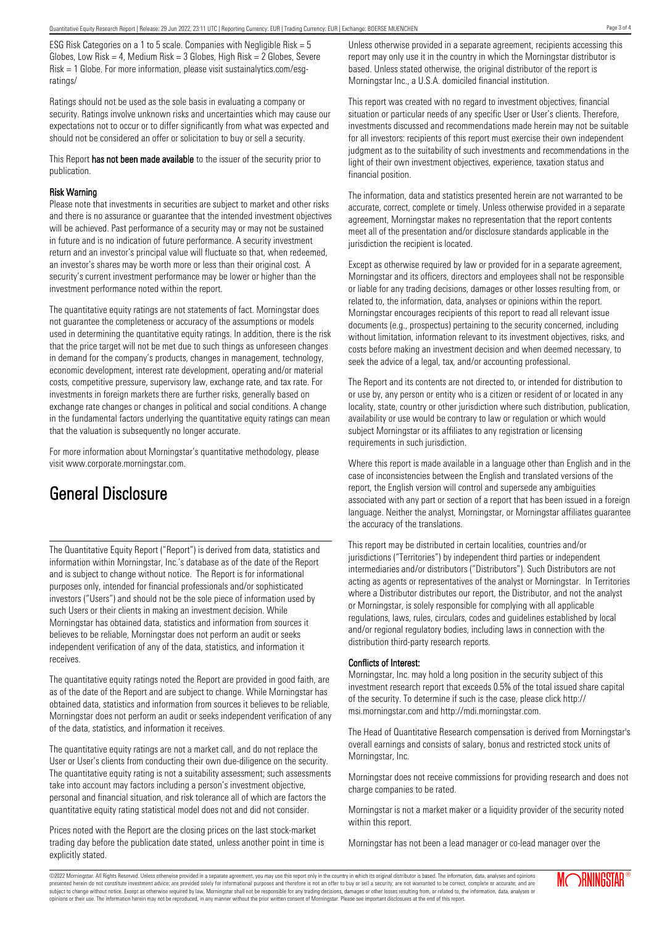ESG Risk Categories on a 1 to 5 scale. Companies with Negligible Risk = 5 Globes, Low Risk = 4, Medium Risk =  $3$  Globes, High Risk =  $2$  Globes, Severe Risk = 1 Globe. For more information, please visit sustainalytics.com/esgratings/

Ratings should not be used as the sole basis in evaluating a company or security. Ratings involve unknown risks and uncertainties which may cause our expectations not to occur or to differ significantly from what was expected and should not be considered an offer or solicitation to buy or sell a security.

This Report has not been made available to the issuer of the security prior to publication.

#### Risk Warning

Please note that investments in securities are subject to market and other risks and there is no assurance or guarantee that the intended investment objectives will be achieved. Past performance of a security may or may not be sustained in future and is no indication of future performance. A security investment return and an investor's principal value will fluctuate so that, when redeemed, an investor's shares may be worth more or less than their original cost. A security's current investment performance may be lower or higher than the investment performance noted within the report.

The quantitative equity ratings are not statements of fact. Morningstar does not guarantee the completeness or accuracy of the assumptions or models used in determining the quantitative equity ratings. In addition, there is the risk that the price target will not be met due to such things as unforeseen changes in demand for the company's products, changes in management, technology, economic development, interest rate development, operating and/or material costs, competitive pressure, supervisory law, exchange rate, and tax rate. For investments in foreign markets there are further risks, generally based on exchange rate changes or changes in political and social conditions. A change in the fundamental factors underlying the quantitative equity ratings can mean that the valuation is subsequently no longer accurate.

For more information about Morningstar's quantitative methodology, please visit www.corporate.morningstar.com.

### General Disclosure

The Quantitative Equity Report ("Report") is derived from data, statistics and information within Morningstar, Inc.'s database as of the date of the Report and is subject to change without notice. The Report is for informational purposes only, intended for financial professionals and/or sophisticated investors ("Users") and should not be the sole piece of information used by such Users or their clients in making an investment decision. While Morningstar has obtained data, statistics and information from sources it believes to be reliable, Morningstar does not perform an audit or seeks independent verification of any of the data, statistics, and information it receives.

The quantitative equity ratings noted the Report are provided in good faith, are as of the date of the Report and are subject to change. While Morningstar has obtained data, statistics and information from sources it believes to be reliable, Morningstar does not perform an audit or seeks independent verification of any of the data, statistics, and information it receives.

The quantitative equity ratings are not a market call, and do not replace the User or User's clients from conducting their own due-diligence on the security. The quantitative equity rating is not a suitability assessment; such assessments take into account may factors including a person's investment objective, personal and financial situation, and risk tolerance all of which are factors the quantitative equity rating statistical model does not and did not consider.

Prices noted with the Report are the closing prices on the last stock-market trading day before the publication date stated, unless another point in time is explicitly stated.

Unless otherwise provided in a separate agreement, recipients accessing this report may only use it in the country in which the Morningstar distributor is based. Unless stated otherwise, the original distributor of the report is Morningstar Inc., a U.S.A. domiciled financial institution.

This report was created with no regard to investment objectives, financial situation or particular needs of any specific User or User's clients. Therefore, investments discussed and recommendations made herein may not be suitable for all investors: recipients of this report must exercise their own independent judgment as to the suitability of such investments and recommendations in the light of their own investment objectives, experience, taxation status and financial position.

The information, data and statistics presented herein are not warranted to be accurate, correct, complete or timely. Unless otherwise provided in a separate agreement, Morningstar makes no representation that the report contents meet all of the presentation and/or disclosure standards applicable in the jurisdiction the recipient is located.

Except as otherwise required by law or provided for in a separate agreement, Morningstar and its officers, directors and employees shall not be responsible or liable for any trading decisions, damages or other losses resulting from, or related to, the information, data, analyses or opinions within the report. Morningstar encourages recipients of this report to read all relevant issue documents (e.g., prospectus) pertaining to the security concerned, including without limitation, information relevant to its investment objectives, risks, and costs before making an investment decision and when deemed necessary, to seek the advice of a legal, tax, and/or accounting professional.

The Report and its contents are not directed to, or intended for distribution to or use by, any person or entity who is a citizen or resident of or located in any locality, state, country or other jurisdiction where such distribution, publication, availability or use would be contrary to law or regulation or which would subject Morningstar or its affiliates to any registration or licensing requirements in such jurisdiction.

Where this report is made available in a language other than English and in the case of inconsistencies between the English and translated versions of the report, the English version will control and supersede any ambiguities associated with any part or section of a report that has been issued in a foreign language. Neither the analyst, Morningstar, or Morningstar affiliates guarantee the accuracy of the translations.

This report may be distributed in certain localities, countries and/or jurisdictions ("Territories") by independent third parties or independent intermediaries and/or distributors ("Distributors"). Such Distributors are not acting as agents or representatives of the analyst or Morningstar. In Territories where a Distributor distributes our report, the Distributor, and not the analyst or Morningstar, is solely responsible for complying with all applicable regulations, laws, rules, circulars, codes and guidelines established by local and/or regional regulatory bodies, including laws in connection with the distribution third-party research reports.

#### Conflicts of Interest:

Morningstar, Inc. may hold a long position in the security subject of this investment research report that exceeds 0.5% of the total issued share capital of the security. To determine if such is the case, please click http:// msi.morningstar.com and http://mdi.morningstar.com.

The Head of Quantitative Research compensation is derived from Morningstar's overall earnings and consists of salary, bonus and restricted stock units of Morningstar, Inc.

Morningstar does not receive commissions for providing research and does not charge companies to be rated.

Morningstar is not a market maker or a liquidity provider of the security noted within this report.

Morningstar has not been a lead manager or co-lead manager over the